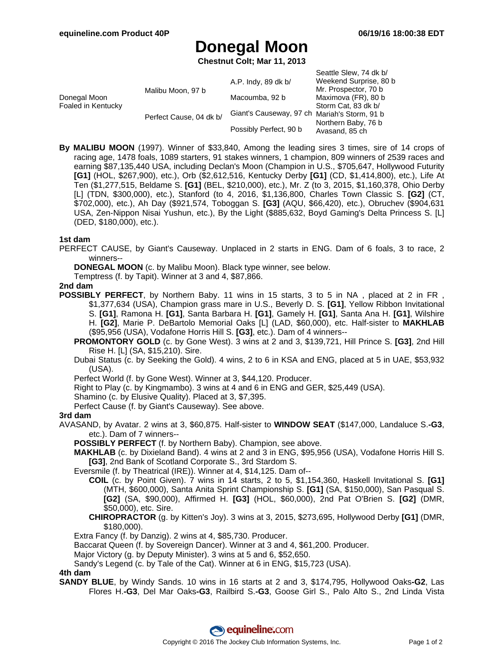Seattle Slew, 74 dk b/

# **Donegal Moon**

**Chestnut Colt; Mar 11, 2013**

|                                    |                         | A.P. Indy, 89 dk b/                          | Sealue Siew, 14 ak by<br>Weekend Surprise, 80 b |
|------------------------------------|-------------------------|----------------------------------------------|-------------------------------------------------|
| Donegal Moon<br>Foaled in Kentucky | Malibu Moon, 97 b       |                                              | Mr. Prospector, 70 b                            |
|                                    |                         | Macoumba, 92 b                               | Maximova (FR), 80 b                             |
|                                    | Perfect Cause, 04 dk b/ |                                              | Storm Cat. 83 dk b/                             |
|                                    |                         | Giant's Causeway, 97 ch Mariah's Storm, 91 b |                                                 |
|                                    |                         |                                              | Northern Baby, 76 b                             |
|                                    |                         | Possibly Perfect, 90 b                       | Avasand, 85 ch                                  |

**By MALIBU MOON** (1997). Winner of \$33,840, Among the leading sires 3 times, sire of 14 crops of racing age, 1478 foals, 1089 starters, 91 stakes winners, 1 champion, 809 winners of 2539 races and earning \$87,135,440 USA, including Declan's Moon (Champion in U.S., \$705,647, Hollywood Futurity **[G1]** (HOL, \$267,900), etc.), Orb (\$2,612,516, Kentucky Derby **[G1]** (CD, \$1,414,800), etc.), Life At Ten (\$1,277,515, Beldame S. **[G1]** (BEL, \$210,000), etc.), Mr. Z (to 3, 2015, \$1,160,378, Ohio Derby [L] (TDN, \$300,000), etc.), Stanford (to 4, 2016, \$1,136,800, Charles Town Classic S. **[G2]** (CT, \$702,000), etc.), Ah Day (\$921,574, Toboggan S. **[G3]** (AQU, \$66,420), etc.), Obruchev (\$904,631 USA, Zen-Nippon Nisai Yushun, etc.), By the Light (\$885,632, Boyd Gaming's Delta Princess S. [L] (DED, \$180,000), etc.).

### **1st dam**

PERFECT CAUSE, by Giant's Causeway. Unplaced in 2 starts in ENG. Dam of 6 foals, 3 to race, 2 winners--

**DONEGAL MOON** (c. by Malibu Moon). Black type winner, see below.

Temptress (f. by Tapit). Winner at 3 and 4, \$87,866.

### **2nd dam**

**POSSIBLY PERFECT**, by Northern Baby. 11 wins in 15 starts, 3 to 5 in NA, placed at 2 in FR \$1,377,634 (USA), Champion grass mare in U.S., Beverly D. S. **[G1]**, Yellow Ribbon Invitational S. **[G1]**, Ramona H. **[G1]**, Santa Barbara H. **[G1]**, Gamely H. **[G1]**, Santa Ana H. **[G1]**, Wilshire H. **[G2]**, Marie P. DeBartolo Memorial Oaks [L] (LAD, \$60,000), etc. Half-sister to **MAKHLAB** (\$95,956 (USA), Vodafone Horris Hill S. **[G3]**, etc.). Dam of 4 winners--

**PROMONTORY GOLD** (c. by Gone West). 3 wins at 2 and 3, \$139,721, Hill Prince S. **[G3]**, 2nd Hill Rise H. [L] (SA, \$15,210). Sire.

Dubai Status (c. by Seeking the Gold). 4 wins, 2 to 6 in KSA and ENG, placed at 5 in UAE, \$53,932 (USA).

Perfect World (f. by Gone West). Winner at 3, \$44,120. Producer.

Right to Play (c. by Kingmambo). 3 wins at 4 and 6 in ENG and GER, \$25,449 (USA).

Shamino (c. by Elusive Quality). Placed at 3, \$7,395.

Perfect Cause (f. by Giant's Causeway). See above.

## **3rd dam**

AVASAND, by Avatar. 2 wins at 3, \$60,875. Half-sister to **WINDOW SEAT** (\$147,000, Landaluce S.**-G3**, etc.). Dam of 7 winners--

**POSSIBLY PERFECT** (f. by Northern Baby). Champion, see above.

**MAKHLAB** (c. by Dixieland Band). 4 wins at 2 and 3 in ENG, \$95,956 (USA), Vodafone Horris Hill S. **[G3]**, 2nd Bank of Scotland Corporate S., 3rd Stardom S.

Eversmile (f. by Theatrical (IRE)). Winner at 4, \$14,125. Dam of--

- **COIL** (c. by Point Given). 7 wins in 14 starts, 2 to 5, \$1,154,360, Haskell Invitational S. **[G1]** (MTH, \$600,000), Santa Anita Sprint Championship S. **[G1]** (SA, \$150,000), San Pasqual S. **[G2]** (SA, \$90,000), Affirmed H. **[G3]** (HOL, \$60,000), 2nd Pat O'Brien S. **[G2]** (DMR, \$50,000), etc. Sire.
- **CHIROPRACTOR** (g. by Kitten's Joy). 3 wins at 3, 2015, \$273,695, Hollywood Derby **[G1]** (DMR, \$180,000).

Extra Fancy (f. by Danzig). 2 wins at 4, \$85,730. Producer.

Baccarat Queen (f. by Sovereign Dancer). Winner at 3 and 4, \$61,200. Producer.

Major Victory (g. by Deputy Minister). 3 wins at 5 and 6, \$52,650.

Sandy's Legend (c. by Tale of the Cat). Winner at 6 in ENG, \$15,723 (USA).

**4th dam**

**SANDY BLUE**, by Windy Sands. 10 wins in 16 starts at 2 and 3, \$174,795, Hollywood Oaks**-G2**, Las Flores H.**-G3**, Del Mar Oaks**-G3**, Railbird S.**-G3**, Goose Girl S., Palo Alto S., 2nd Linda Vista